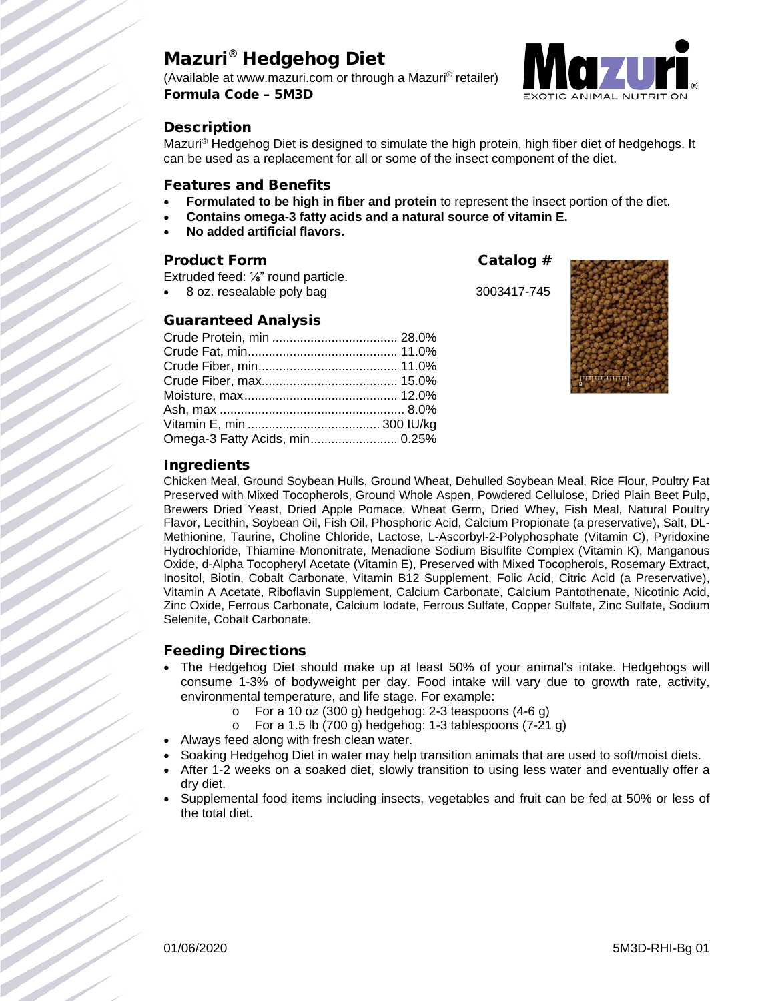# Mazuri® Hedgehog Diet

(Available at www.mazuri.com or through a Mazuri® retailer) Formula Code – 5M3D



# **Description**

Mazuri® Hedgehog Diet is designed to simulate the high protein, high fiber diet of hedgehogs. It can be used as a replacement for all or some of the insect component of the diet.

#### Features and Benefits

- **Formulated to be high in fiber and protein** to represent the insect portion of the diet.
- **Contains omega-3 fatty acids and a natural source of vitamin E.**
- **No added artificial flavors.**

### Product Form Catalog #

Extruded feed: ⅛" round particle.

8 oz. resealable poly bag 3003417-745

### Guaranteed Analysis

| Omega-3 Fatty Acids, min 0.25% |  |
|--------------------------------|--|





### Ingredients

Chicken Meal, Ground Soybean Hulls, Ground Wheat, Dehulled Soybean Meal, Rice Flour, Poultry Fat Preserved with Mixed Tocopherols, Ground Whole Aspen, Powdered Cellulose, Dried Plain Beet Pulp, Brewers Dried Yeast, Dried Apple Pomace, Wheat Germ, Dried Whey, Fish Meal, Natural Poultry Flavor, Lecithin, Soybean Oil, Fish Oil, Phosphoric Acid, Calcium Propionate (a preservative), Salt, DL-Methionine, Taurine, Choline Chloride, Lactose, L-Ascorbyl-2-Polyphosphate (Vitamin C), Pyridoxine Hydrochloride, Thiamine Mononitrate, Menadione Sodium Bisulfite Complex (Vitamin K), Manganous Oxide, d-Alpha Tocopheryl Acetate (Vitamin E), Preserved with Mixed Tocopherols, Rosemary Extract, Inositol, Biotin, Cobalt Carbonate, Vitamin B12 Supplement, Folic Acid, Citric Acid (a Preservative), Vitamin A Acetate, Riboflavin Supplement, Calcium Carbonate, Calcium Pantothenate, Nicotinic Acid, Zinc Oxide, Ferrous Carbonate, Calcium Iodate, Ferrous Sulfate, Copper Sulfate, Zinc Sulfate, Sodium Selenite, Cobalt Carbonate.

### Feeding Directions

- The Hedgehog Diet should make up at least 50% of your animal's intake. Hedgehogs will consume 1-3% of bodyweight per day. Food intake will vary due to growth rate, activity, environmental temperature, and life stage. For example:
	- $\circ$  For a 10 oz (300 g) hedgehog: 2-3 teaspoons (4-6 g)
	- $\circ$  For a 1.5 lb (700 g) hedgehog: 1-3 tablespoons (7-21 g)
- Always feed along with fresh clean water.
- Soaking Hedgehog Diet in water may help transition animals that are used to soft/moist diets.
- After 1-2 weeks on a soaked diet, slowly transition to using less water and eventually offer a dry diet.
- Supplemental food items including insects, vegetables and fruit can be fed at 50% or less of the total diet.